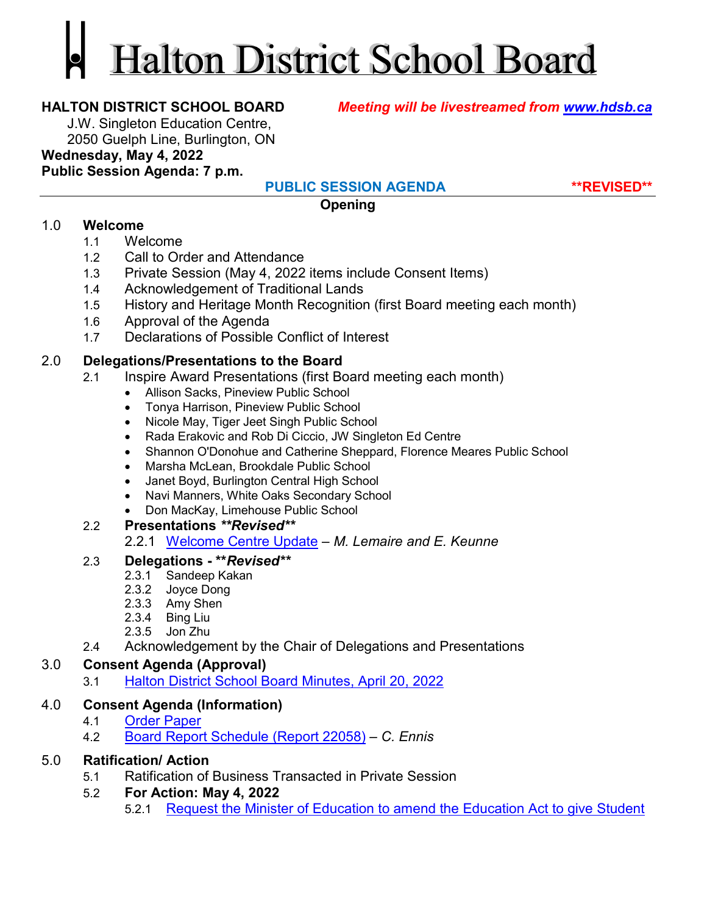# Halton District School Board

**HALTON DISTRICT SCHOOL BOARD** *Meeting will be livestreamed from [www.hdsb.ca](http://www.hdsb.ca/)*

J.W. Singleton Education Centre, 2050 Guelph Line, Burlington, ON

## **Wednesday, May 4, 2022**

**Public Session Agenda: 7 p.m.**

**PUBLIC SESSION AGENDA \*\*REVISED\*\***

**Opening**

#### 1.0 **Welcome**

- 1.1 Welcome
- 1.2 Call to Order and Attendance
- 1.3 Private Session (May 4, 2022 items include Consent Items)
- 1.4 Acknowledgement of Traditional Lands
- 1.5 History and Heritage Month Recognition (first Board meeting each month)
- 1.6 Approval of the Agenda
- 1.7 Declarations of Possible Conflict of Interest

#### 2.0 **Delegations/Presentations to the Board**

- 2.1 Inspire Award Presentations (first Board meeting each month)
	- Allison Sacks, Pineview Public School
	- Tonya Harrison, Pineview Public School
	- Nicole May, Tiger Jeet Singh Public School
	- Rada Erakovic and Rob Di Ciccio, JW Singleton Ed Centre
	- Shannon O'Donohue and Catherine Sheppard, Florence Meares Public School
	- Marsha McLean, Brookdale Public School
	- Janet Boyd, Burlington Central High School
	- Navi Manners, White Oaks Secondary School
	- Don MacKay, Limehouse Public School

#### 2.2 **Presentations** *\*\*Revised\*\**

2.2.1 [Welcome Centre Update](https://drive.google.com/file/d/1vcCtM-tXspmsXNgQk-pLjPfQaYQLTtav/view?usp=sharing) – *M. Lemaire and E. Keunne*

#### 2.3 **Delegations - \*\****Revised\*\**

- 2.3.1 Sandeep Kakan
- 2.3.2 Joyce Dong
- 2.3.3 Amy Shen
- 2.3.4 Bing Liu
- 2.3.5 Jon Zhu
- 2.4 Acknowledgement by the Chair of Delegations and Presentations

#### 3.0 **Consent Agenda (Approval)**

3.1 [Halton District School Board Minutes, April 20, 2022](https://drive.google.com/file/d/1Y15R7F0xM8CAZ9-bSbbavfCylf34x7Hm/view?usp=sharing)

# 4.0 **Consent Agenda (Information)**

- 4.1 [Order Paper](https://drive.google.com/file/d/1nC5bgcO9SlZC4Ty6pDhaIxmsYiQE0And/view?usp=sharing)
- 4.2 [Board Report Schedule \(Report 22058\)](https://drive.google.com/file/d/1eHBaWIlQl8nb7226vdUdZJJFyEJFoXky/view?usp=sharing) *C. Ennis*

# 5.0 **Ratification/ Action**

5.1 Ratification of Business Transacted in Private Session

# 5.2 **For Action: May 4, 2022**

5.2.1 [Request the Minister of Education to amend the Education Act to give Student](https://drive.google.com/file/d/1smKbdfDCYaHkG05n67zL7rGzRW-Mbcw9/view?usp=sharing)